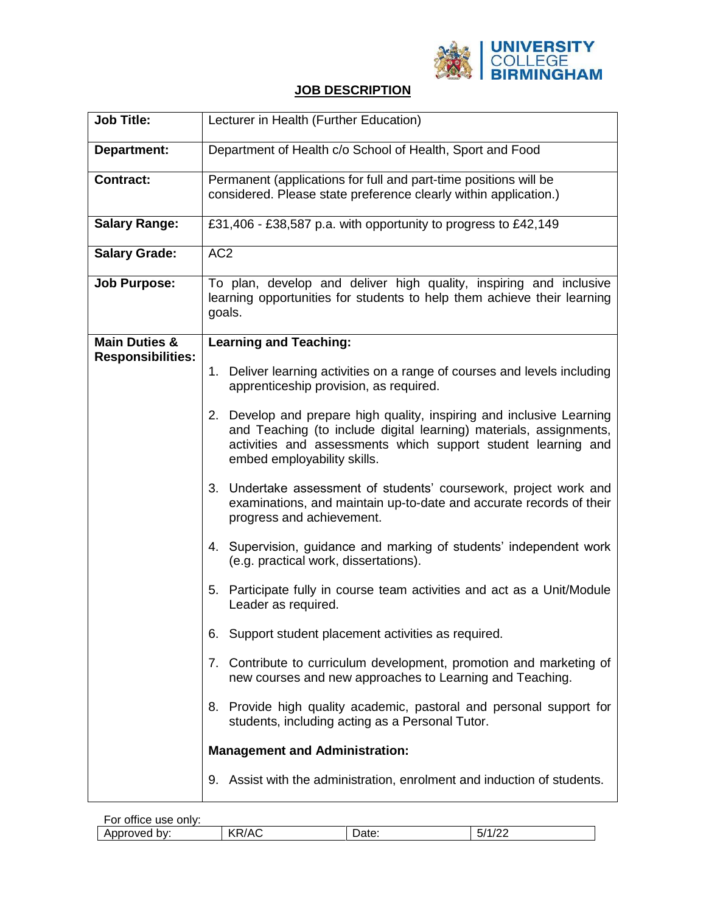

## **JOB DESCRIPTION**

| <b>Job Title:</b>                                    | Lecturer in Health (Further Education)                                                                                                                                                                                                      |  |  |
|------------------------------------------------------|---------------------------------------------------------------------------------------------------------------------------------------------------------------------------------------------------------------------------------------------|--|--|
| Department:                                          | Department of Health c/o School of Health, Sport and Food                                                                                                                                                                                   |  |  |
| <b>Contract:</b>                                     | Permanent (applications for full and part-time positions will be<br>considered. Please state preference clearly within application.)                                                                                                        |  |  |
| <b>Salary Range:</b>                                 | £31,406 - £38,587 p.a. with opportunity to progress to £42,149                                                                                                                                                                              |  |  |
| <b>Salary Grade:</b>                                 | AC <sub>2</sub>                                                                                                                                                                                                                             |  |  |
| <b>Job Purpose:</b>                                  | To plan, develop and deliver high quality, inspiring and inclusive<br>learning opportunities for students to help them achieve their learning<br>goals.                                                                                     |  |  |
| <b>Main Duties &amp;</b><br><b>Responsibilities:</b> | <b>Learning and Teaching:</b>                                                                                                                                                                                                               |  |  |
|                                                      | 1. Deliver learning activities on a range of courses and levels including<br>apprenticeship provision, as required.                                                                                                                         |  |  |
|                                                      | 2. Develop and prepare high quality, inspiring and inclusive Learning<br>and Teaching (to include digital learning) materials, assignments,<br>activities and assessments which support student learning and<br>embed employability skills. |  |  |
|                                                      | 3. Undertake assessment of students' coursework, project work and<br>examinations, and maintain up-to-date and accurate records of their<br>progress and achievement.                                                                       |  |  |
|                                                      | 4. Supervision, guidance and marking of students' independent work<br>(e.g. practical work, dissertations).                                                                                                                                 |  |  |
|                                                      | 5. Participate fully in course team activities and act as a Unit/Module<br>Leader as required.                                                                                                                                              |  |  |
|                                                      | 6. Support student placement activities as required.                                                                                                                                                                                        |  |  |
|                                                      | Contribute to curriculum development, promotion and marketing of<br>7.<br>new courses and new approaches to Learning and Teaching.                                                                                                          |  |  |
|                                                      | 8. Provide high quality academic, pastoral and personal support for<br>students, including acting as a Personal Tutor.                                                                                                                      |  |  |
|                                                      | <b>Management and Administration:</b>                                                                                                                                                                                                       |  |  |
|                                                      | 9. Assist with the administration, enrolment and induction of students.                                                                                                                                                                     |  |  |

| <br>office use only:<br>-or |       |            |                                         |
|-----------------------------|-------|------------|-----------------------------------------|
| Approved<br>bv:             | KR/AC | ∽<br>Date: | $\sqrt{2}$<br><u>ги</u><br>יש<br>17 L L |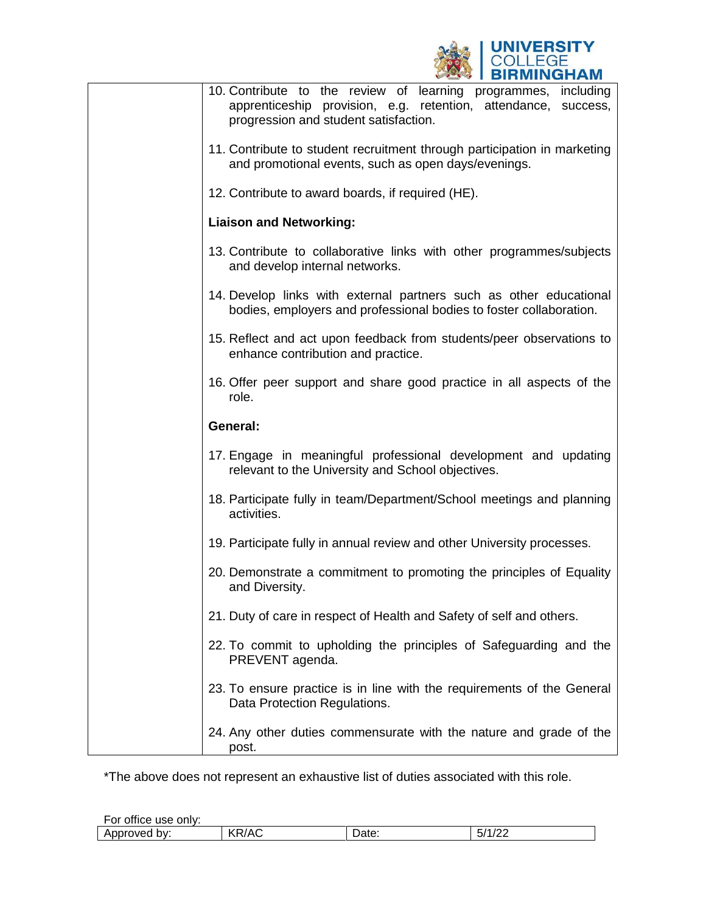

| 10. Contribute to the review of learning programmes, including<br>apprenticeship provision, e.g. retention, attendance, success,<br>progression and student satisfaction. |
|---------------------------------------------------------------------------------------------------------------------------------------------------------------------------|
| 11. Contribute to student recruitment through participation in marketing<br>and promotional events, such as open days/evenings.                                           |
| 12. Contribute to award boards, if required (HE).                                                                                                                         |
| <b>Liaison and Networking:</b>                                                                                                                                            |
| 13. Contribute to collaborative links with other programmes/subjects<br>and develop internal networks.                                                                    |
| 14. Develop links with external partners such as other educational<br>bodies, employers and professional bodies to foster collaboration.                                  |
| 15. Reflect and act upon feedback from students/peer observations to<br>enhance contribution and practice.                                                                |
| 16. Offer peer support and share good practice in all aspects of the<br>role.                                                                                             |
|                                                                                                                                                                           |
| General:                                                                                                                                                                  |
| 17. Engage in meaningful professional development and updating<br>relevant to the University and School objectives.                                                       |
| 18. Participate fully in team/Department/School meetings and planning<br>activities.                                                                                      |
| 19. Participate fully in annual review and other University processes.                                                                                                    |
| 20. Demonstrate a commitment to promoting the principles of Equality<br>and Diversity.                                                                                    |
| 21. Duty of care in respect of Health and Safety of self and others.                                                                                                      |
| 22. To commit to upholding the principles of Safeguarding and the<br>PREVENT agenda.                                                                                      |
| 23. To ensure practice is in line with the requirements of the General<br>Data Protection Regulations.                                                                    |

\*The above does not represent an exhaustive list of duties associated with this role.

| <br>only:<br>office use<br>For |                                      |                   |                         |  |
|--------------------------------|--------------------------------------|-------------------|-------------------------|--|
| Approved<br>bv:                | $\sqrt{2}$<br>२/AC<br>И<br>. .<br>N. | ∽<br>^†^<br>υαισ. | $\sqrt{2}$<br>F14<br>IJ |  |